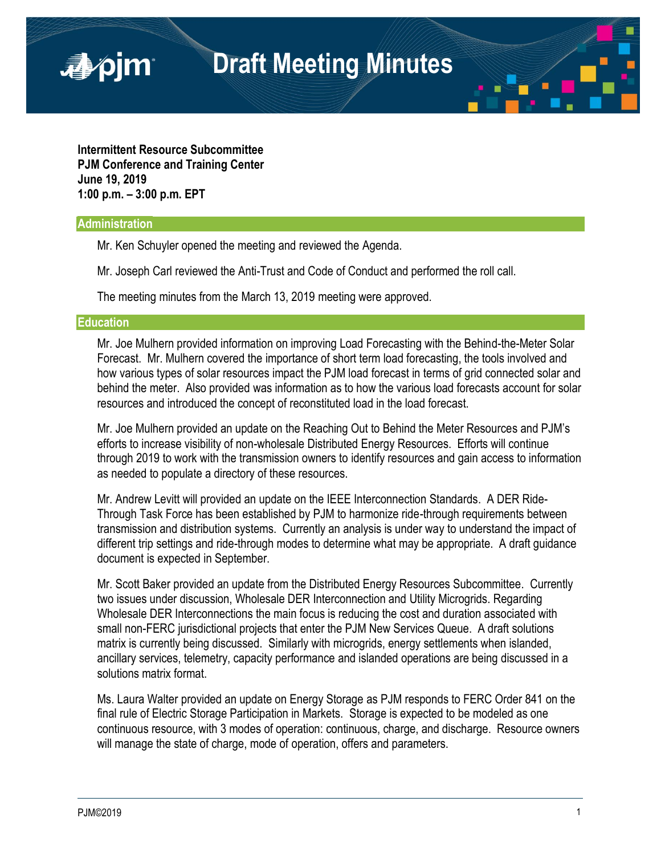**Intermittent Resource Subcommittee PJM Conference and Training Center June 19, 2019 1:00 p.m. – 3:00 p.m. EPT**

## **Administration**

■pjm

Mr. Ken Schuyler opened the meeting and reviewed the Agenda.

Mr. Joseph Carl reviewed the Anti-Trust and Code of Conduct and performed the roll call.

The meeting minutes from the March 13, 2019 meeting were approved.

## **Education**

Mr. Joe Mulhern provided information on improving Load Forecasting with the Behind-the-Meter Solar Forecast. Mr. Mulhern covered the importance of short term load forecasting, the tools involved and how various types of solar resources impact the PJM load forecast in terms of grid connected solar and behind the meter. Also provided was information as to how the various load forecasts account for solar resources and introduced the concept of reconstituted load in the load forecast.

Mr. Joe Mulhern provided an update on the Reaching Out to Behind the Meter Resources and PJM's efforts to increase visibility of non-wholesale Distributed Energy Resources. Efforts will continue through 2019 to work with the transmission owners to identify resources and gain access to information as needed to populate a directory of these resources.

Mr. Andrew Levitt will provided an update on the IEEE Interconnection Standards. A DER Ride-Through Task Force has been established by PJM to harmonize ride-through requirements between transmission and distribution systems. Currently an analysis is under way to understand the impact of different trip settings and ride-through modes to determine what may be appropriate. A draft guidance document is expected in September.

Mr. Scott Baker provided an update from the Distributed Energy Resources Subcommittee. Currently two issues under discussion, Wholesale DER Interconnection and Utility Microgrids. Regarding Wholesale DER Interconnections the main focus is reducing the cost and duration associated with small non-FERC jurisdictional projects that enter the PJM New Services Queue. A draft solutions matrix is currently being discussed. Similarly with microgrids, energy settlements when islanded, ancillary services, telemetry, capacity performance and islanded operations are being discussed in a solutions matrix format.

Ms. Laura Walter provided an update on Energy Storage as PJM responds to FERC Order 841 on the final rule of Electric Storage Participation in Markets. Storage is expected to be modeled as one continuous resource, with 3 modes of operation: continuous, charge, and discharge. Resource owners will manage the state of charge, mode of operation, offers and parameters.